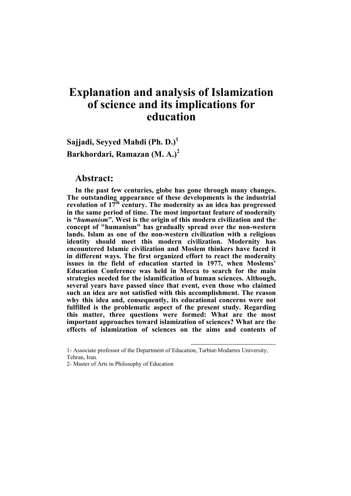# **Explanation and analysis of Islamization of science and its implications for education**

**Sajjadi, Seyyed Mahdi (Ph. D.)<sup>1</sup> Barkhordari, Ramazan (M. A.)<sup>2</sup>**

#### **Abstract:**

**In the past few centuries, globe has gone through many changes. The outstanding appearance of these developments is the industrial revolution of 17th century. The modernity as an idea has progressed in the same period of time. The most important feature of modernity is "***humanism***". West is the origin of this modern civilization and the concept of "humanism" has gradually spread over the non-western lands. Islam as one of the non-western civilization with a religious identity should meet this modern civilization. Modernity has encountered Islamic civilization and Moslem thinkers have faced it in different ways. The first organized effort to react the modernity issues in the field of education started in 1977, when Moslems' Education Conference was held in Mecca to search for the main strategies needed for the islamification of human sciences. Although, several years have passed since that event, even those who claimed such an idea are not satisfied with this accomplishment. The reason why this idea and, consequently, its educational concerns were not fulfilled is the problematic aspect of the present study. Regarding this matter, three questions were formed: What are the most important approaches toward islamization of sciences? What are the effects of islamization of sciences on the aims and contents of** 

 $\overline{a}$ 

<sup>1-</sup> Associate professor of the Department of Education, Tarbiat-Modarres University, Tehran, Iran.

<sup>2-</sup> Master of Arts in Philosophy of Education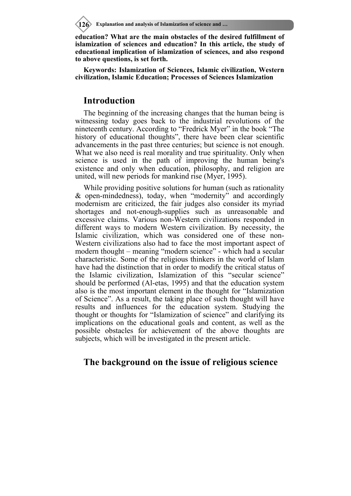**126 Explanation and analysis of Islamization of science and …**

**education? What are the main obstacles of the desired fulfillment of islamization of sciences and education? In this article, the study of educational implication of islamization of sciences, and also respond to above questions, is set forth.** 

**Keywords: Islamization of Sciences, Islamic civilization, Western civilization, Islamic Education; Processes of Sciences Islamization** 

#### **Introduction**

The beginning of the increasing changes that the human being is witnessing today goes back to the industrial revolutions of the nineteenth century. According to "Fredrick Myer" in the book "The history of educational thoughts", there have been clear scientific advancements in the past three centuries; but science is not enough. What we also need is real morality and true spirituality. Only when science is used in the path of improving the human being's existence and only when education, philosophy, and religion are united, will new periods for mankind rise (Myer, 1995).

While providing positive solutions for human (such as rationality & open-mindedness), today, when "modernity" and accordingly modernism are criticized, the fair judges also consider its myriad shortages and not-enough-supplies such as unreasonable and excessive claims. Various non-Western civilizations responded in different ways to modern Western civilization. By necessity, the Islamic civilization, which was considered one of these non-Western civilizations also had to face the most important aspect of modern thought – meaning "modern science" - which had a secular characteristic. Some of the religious thinkers in the world of Islam have had the distinction that in order to modify the critical status of the Islamic civilization, Islamization of this "secular science" should be performed (Al-etas, 1995) and that the education system also is the most important element in the thought for "Islamization of Science". As a result, the taking place of such thought will have results and influences for the education system. Studying the thought or thoughts for "Islamization of science" and clarifying its implications on the educational goals and content, as well as the possible obstacles for achievement of the above thoughts are subjects, which will be investigated in the present article.

# **The background on the issue of religious science**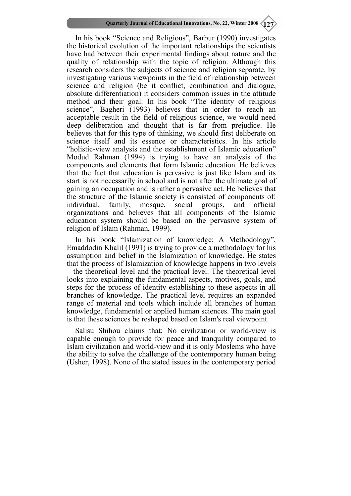In his book "Science and Religious", Barbur (1990) investigates the historical evolution of the important relationships the scientists have had between their experimental findings about nature and the quality of relationship with the topic of religion. Although this research considers the subjects of science and religion separate, by investigating various viewpoints in the field of relationship between science and religion (be it conflict, combination and dialogue, absolute differentiation) it considers common issues in the attitude method and their goal. In his book "The identity of religious science", Bagheri (1993) believes that in order to reach an acceptable result in the field of religious science, we would need deep deliberation and thought that is far from prejudice. He believes that for this type of thinking, we should first deliberate on science itself and its essence or characteristics. In his article "holistic-view analysis and the establishment of Islamic education" Modud Rahman (1994) is trying to have an analysis of the components and elements that form Islamic education. He believes that the fact that education is pervasive is just like Islam and its start is not necessarily in school and is not after the ultimate goal of gaining an occupation and is rather a pervasive act. He believes that the structure of the Islamic society is consisted of components of: individual, family, mosque, social groups, and official organizations and believes that all components of the Islamic education system should be based on the pervasive system of religion of Islam (Rahman, 1999).

In his book "Islamization of knowledge: A Methodology", Emaddodin Khalil (1991) is trying to provide a methodology for his assumption and belief in the Islamization of knowledge. He states that the process of Islamization of knowledge happens in two levels – the theoretical level and the practical level. The theoretical level looks into explaining the fundamental aspects, motives, goals, and steps for the process of identity-establishing to these aspects in all branches of knowledge. The practical level requires an expanded range of material and tools which include all branches of human knowledge, fundamental or applied human sciences. The main goal is that these sciences be reshaped based on Islam's real viewpoint.

Salisu Shihou claims that: No civilization or world-view is capable enough to provide for peace and tranquility compared to Islam civilization and world-view and it is only Moslems who have the ability to solve the challenge of the contemporary human being (Usher, 1998). None of the stated issues in the contemporary period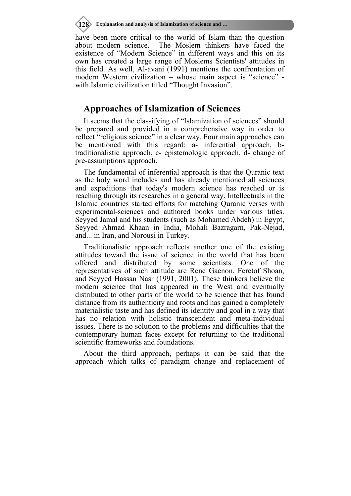**128 Explanation and analysis of Islamization of science and …**

have been more critical to the world of Islam than the question about modern science. The Moslem thinkers have faced the existence of "Modern Science" in different ways and this on its own has created a large range of Moslems Scientists' attitudes in this field. As well, Al-avani (1991) mentions the confrontation of modern Western civilization – whose main aspect is "science" with Islamic civilization titled "Thought Invasion".

### **Approaches of Islamization of Sciences**

It seems that the classifying of "Islamization of sciences" should be prepared and provided in a comprehensive way in order to reflect "religious science" in a clear way. Four main approaches can be mentioned with this regard: a- inferential approach, btraditionalistic approach, c- epistemologic approach, d- change of pre-assumptions approach.

The fundamental of inferential approach is that the Quranic text as the holy word includes and has already mentioned all sciences and expeditions that today's modern science has reached or is reaching through its researches in a general way. Intellectuals in the Islamic countries started efforts for matching Quranic verses with experimental-sciences and authored books under various titles. Seyyed Jamal and his students (such as Mohamed Abdeh) in Egypt, Seyyed Ahmad Khaan in India, Mohali Bazragarn, Pak-Nejad, and... in Iran, and Norousi in Turkey.

Traditionalistic approach reflects another one of the existing attitudes toward the issue of science in the world that has been offered and distributed by some scientists. One of the representatives of such attitude are Rene Gaenon, Feretof Shoan, and Seyyed Hassan Nasr (1991, 2001). These thinkers believe the modern science that has appeared in the West and eventually distributed to other parts of the world to be science that has found distance from its authenticity and roots and has gained a completely materialistic taste and has defined its identity and goal in a way that has no relation with holistic transcendent and meta-individual issues. There is no solution to the problems and difficulties that the contemporary human faces except for returning to the traditional scientific frameworks and foundations.

About the third approach, perhaps it can be said that the approach which talks of paradigm change and replacement of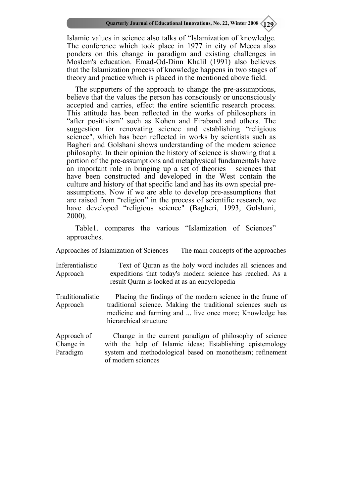Islamic values in science also talks of "Islamization of knowledge. The conference which took place in 1977 in city of Mecca also ponders on this change in paradigm and existing challenges in Moslem's education. Emad-Od-Dinn Khalil (1991) also believes that the Islamization process of knowledge happens in two stages of theory and practice which is placed in the mentioned above field.

The supporters of the approach to change the pre-assumptions, believe that the values the person has consciously or unconsciously accepted and carries, effect the entire scientific research process. This attitude has been reflected in the works of philosophers in "after positivism" such as Kohen and Firaband and others. The suggestion for renovating science and establishing "religious science", which has been reflected in works by scientists such as Bagheri and Golshani shows understanding of the modern science philosophy. In their opinion the history of science is showing that a portion of the pre-assumptions and metaphysical fundamentals have an important role in bringing up a set of theories – sciences that have been constructed and developed in the West contain the culture and history of that specific land and has its own special preassumptions. Now if we are able to develop pre-assumptions that are raised from "religion" in the process of scientific research, we have developed "religious science" (Bagheri, 1993, Golshani, 2000).

Table1. compares the various "Islamization of Sciences" approaches.

Approaches of Islamization of Sciences The main concepts of the approaches

Inferentialistic Approach Text of Quran as the holy word includes all sciences and expeditions that today's modern science has reached. As a result Quran is looked at as an encyclopedia

Traditionalistic Approach Placing the findings of the modern science in the frame of traditional science. Making the traditional sciences such as medicine and farming and ... live once more; Knowledge has hierarchical structure

Approach of Change in Paradigm Change in the current paradigm of philosophy of science with the help of Islamic ideas; Establishing epistemology system and methodological based on monotheism; refinement of modern sciences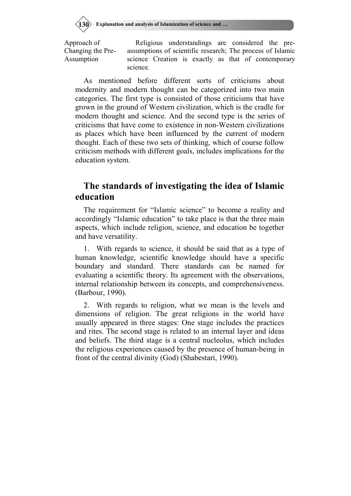Approach of Changing the Pre-Assumption

Religious understandings are considered the preassumptions of scientific research; The process of Islamic science Creation is exactly as that of contemporary science.

As mentioned before different sorts of criticisms about modernity and modern thought can be categorized into two main categories. The first type is consisted of those criticisms that have grown in the ground of Western civilization, which is the cradle for modern thought and science. And the second type is the series of criticisms that have come to existence in non-Western civilizations as places which have been influenced by the current of modern thought. Each of these two sets of thinking, which of course follow criticism methods with different goals, includes implications for the education system.

# **The standards of investigating the idea of Islamic education**

The requirement for "Islamic science" to become a reality and accordingly "Islamic education" to take place is that the three main aspects, which include religion, science, and education be together and have versatility.

1. With regards to science, it should be said that as a type of human knowledge, scientific knowledge should have a specific boundary and standard. There standards can be named for evaluating a scientific theory. Its agreement with the observations, internal relationship between its concepts, and comprehensiveness. (Barbour, 1990).

2. With regards to religion, what we mean is the levels and dimensions of religion. The great religions in the world have usually appeared in three stages: One stage includes the practices and rites. The second stage is related to an internal layer and ideas and beliefs. The third stage is a central nucleolus, which includes the religious experiences caused by the presence of human-being in front of the central divinity (God) (Shabestari, 1990).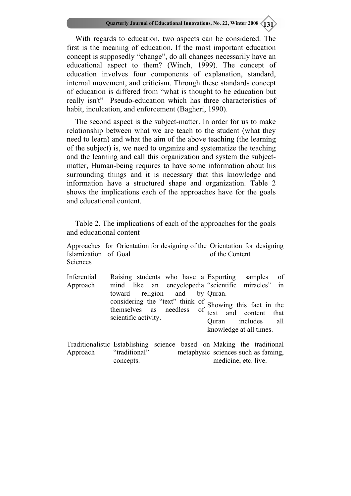With regards to education, two aspects can be considered. The first is the meaning of education. If the most important education concept is supposedly "change", do all changes necessarily have an educational aspect to them? (Winch, 1999). The concept of education involves four components of explanation, standard, internal movement, and criticism. Through these standards concept of education is differed from "what is thought to be education but really isn't" Pseudo-education which has three characteristics of habit, inculcation, and enforcement (Bagheri, 1990).

The second aspect is the subject-matter. In order for us to make relationship between what we are teach to the student (what they need to learn) and what the aim of the above teaching (the learning of the subject) is, we need to organize and systematize the teaching and the learning and call this organization and system the subjectmatter, Human-being requires to have some information about his surrounding things and it is necessary that this knowledge and information have a structured shape and organization. Table 2 shows the implications each of the approaches have for the goals and educational content.

Table 2. The implications of each of the approaches for the goals and educational content

Approaches for Orientation for designing of the Orientation for designing Islamization of Goal Sciences of the Content

| Inferential | Raising students who have a Exporting                                                                                            | samples of                                    |
|-------------|----------------------------------------------------------------------------------------------------------------------------------|-----------------------------------------------|
| Approach    | mind like an encyclopedia "scientific miracles" in                                                                               |                                               |
|             | toward religion and by Quran.                                                                                                    |                                               |
|             | considering the "text" think of Showing this fact in the themselves as needless of text and content that<br>scientific activity. | Quran includes all<br>knowledge at all times. |
|             |                                                                                                                                  |                                               |

Traditionalistic Establishing science based on Making the traditional Approach "traditional" metaphysic sciences such as faming, concepts. medicine, etc. live.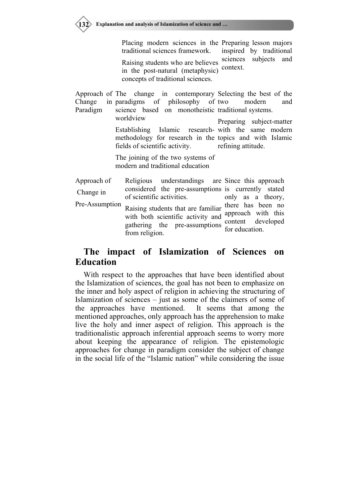

Placing modern sciences in the Preparing lesson majors traditional sciences framework. Raising students who are believes in the post-natural (metaphysic) concepts of traditional sciences. inspired by traditional sciences subjects and context.

Approach of Change in paradigms Paradigm The change in contemporary Selecting the best of the of philosophy of two science based on monotheistic traditional systems. modern and

> worldview Establishing Islamic research-with the same modern methodology for research in the topics and with Islamic fields of scientific activity. Preparing subject-matter refining attitude.

The joining of the two systems of modern and traditional education

| Approach of    | Religious understandings are Since this approach                                                                                             |                                                           |
|----------------|----------------------------------------------------------------------------------------------------------------------------------------------|-----------------------------------------------------------|
| Change in      | considered the pre-assumptions is currently stated<br>of scientific activities.                                                              | only as a theory,                                         |
| Pre-Assumption | Raising students that are familiar there has been no<br>with both scientific activity and<br>gathering the pre-assumptions<br>from religion. | approach with this<br>content developed<br>for education. |

# **The impact of Islamization of Sciences on Education**

With respect to the approaches that have been identified about the Islamization of sciences, the goal has not been to emphasize on the inner and holy aspect of religion in achieving the structuring of Islamization of sciences – just as some of the claimers of some of the approaches have mentioned. It seems that among the mentioned approaches, only approach has the apprehension to make live the holy and inner aspect of religion. This approach is the traditionalistic approach inferential approach seems to worry more about keeping the appearance of religion. The epistemologic approaches for change in paradigm consider the subject of change in the social life of the "Islamic nation" while considering the issue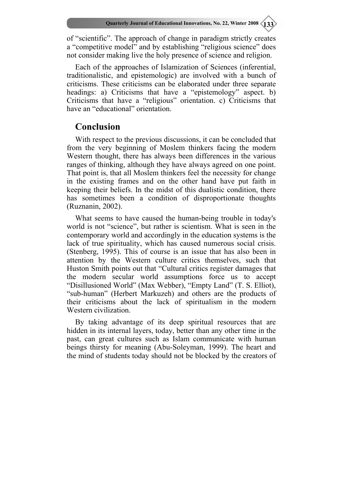of "scientific". The approach of change in paradigm strictly creates a "competitive model" and by establishing "religious science" does not consider making live the holy presence of science and religion.

Each of the approaches of Islamization of Sciences (inferential, traditionalistic, and epistemologic) are involved with a bunch of criticisms. These criticisms can be elaborated under three separate headings: a) Criticisms that have a "epistemology" aspect. b) Criticisms that have a "religious" orientation. c) Criticisms that have an "educational" orientation.

### **Conclusion**

With respect to the previous discussions, it can be concluded that from the very beginning of Moslem thinkers facing the modern Western thought, there has always been differences in the various ranges of thinking, although they have always agreed on one point. That point is, that all Moslem thinkers feel the necessity for change in the existing frames and on the other hand have put faith in keeping their beliefs. In the midst of this dualistic condition, there has sometimes been a condition of disproportionate thoughts (Ruznanin, 2002).

What seems to have caused the human-being trouble in today's world is not "science", but rather is scientism. What is seen in the contemporary world and accordingly in the education systems is the lack of true spirituality, which has caused numerous social crisis. (Stenberg, 1995). This of course is an issue that has also been in attention by the Western culture critics themselves, such that Huston Smith points out that "Cultural critics register damages that the modern secular world assumptions force us to accept "Disillusioned World" (Max Webber), "Empty Land" (T. S. Elliot), "sub-human" (Herbert Markuzeh) and others are the products of their criticisms about the lack of spiritualism in the modern Western civilization.

By taking advantage of its deep spiritual resources that are hidden in its internal layers, today, better than any other time in the past, can great cultures such as Islam communicate with human beings thirsty for meaning (Abu-Soleyman, 1999). The heart and the mind of students today should not be blocked by the creators of